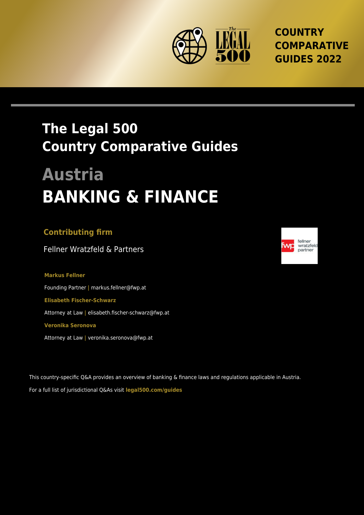

**COUNTRY COMPARATIVE GUIDES 2022**

## **The Legal 500 Country Comparative Guides**

# **Austria BANKING & FINANCE**

### **Contributing firm**

Fellner Wratzfeld & Partners

**Markus Fellner** Founding Partner **|** markus.fellner@fwp.at **Elisabeth Fischer-Schwarz** Attorney at Law **|** elisabeth.fischer-schwarz@fwp.at **Veronika Seronova**

Attorney at Law **|** veronika.seronova@fwp.at

This country-specific Q&A provides an overview of banking & finance laws and regulations applicable in Austria. For a full list of jurisdictional Q&As visit **[legal500.com/guides](https://www.legal500.com/guides/)**

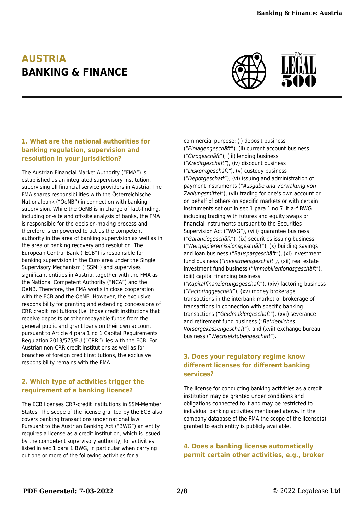## **AUSTRIA BANKING & FINANCE**



#### **1. What are the national authorities for banking regulation, supervision and resolution in your jurisdiction?**

The Austrian Financial Market Authority ("FMA") is established as an integrated supervisory institution, supervising all financial service providers in Austria. The FMA shares responsibilities with the Österreichische Nationalbank ("OeNB") in connection with banking supervision. While the OeNB is in charge of fact-finding, including on-site and off-site analysis of banks, the FMA is responsible for the decision-making process and therefore is empowered to act as the competent authority in the area of banking supervision as well as in the area of banking recovery and resolution. The European Central Bank ("ECB") is responsible for banking supervision in the Euro area under the Single Supervisory Mechanism ("SSM") and supervises significant entities in Austria, together with the FMA as the National Competent Authority ("NCA") and the OeNB. Therefore, the FMA works in close cooperation with the ECB and the OeNB. However, the exclusive responsibility for granting and extending concessions of CRR credit institutions (i.e. those credit institutions that receive deposits or other repayable funds from the general public and grant loans on their own account pursuant to Article 4 para 1 no 1 Capital Requirements Regulation 2013/575/EU ("CRR") lies with the ECB. For Austrian non-CRR credit institutions as well as for branches of foreign credit institutions, the exclusive responsibility remains with the FMA.

#### **2. Which type of activities trigger the requirement of a banking licence?**

The ECB licenses CRR-credit institutions in SSM-Member States. The scope of the license granted by the ECB also covers banking transactions under national law. Pursuant to the Austrian Banking Act ("BWG") an entity requires a license as a credit institution, which is issued by the competent supervisory authority, for activities listed in sec 1 para 1 BWG, in particular when carrying out one or more of the following activities for a

commercial purpose: (i) deposit business ("Einlagengeschäft"), (ii) current account business ("Girogeschäft"), (iii) lending business ("Kreditgeschäft"), (iv) discount business ("Diskontgeschäft"), (v) custody business ("Depotgeschäft"), (vi) issuing and administration of payment instruments ("Ausgabe und Verwaltung von Zahlungsmittel"), (vii) trading for one's own account or on behalf of others on specific markets or with certain instruments set out in sec 1 para 1 no 7 lit a–f BWG including trading with futures and equity swaps or financial instruments pursuant to the Securities Supervision Act ("WAG"), (viii) guarantee business ("Garantiegeschäft"), (ix) securities issuing business ("Wertpapieremissionsgeschäft"), (x) building savings and loan business ("Bauspargeschäft"), (xi) investment fund business ("Investmentgeschäft"), (xii) real estate investment fund business ("Immobilienfondsgeschäft"), (xiii) capital financing business ("Kapitalfinanzierungsgeschäft"), (xiv) factoring business ("Factoringgeschäft"), (xv) money brokerage transactions in the interbank market or brokerage of transactions in connection with specific banking transactions ("Geldmaklergeschäft"), (xvi) severance and retirement fund business ("Betriebliches Vorsorgekassengeschäft"), and (xvii) exchange bureau business ("Wechselstubengeschäft").

#### **3. Does your regulatory regime know different licenses for different banking services?**

The license for conducting banking activities as a credit institution may be granted under conditions and obligations connected to it and may be restricted to individual banking activities mentioned above. In the company database of the FMA the scope of the license(s) granted to each entity is publicly available.

#### **4. Does a banking license automatically permit certain other activities, e.g., broker**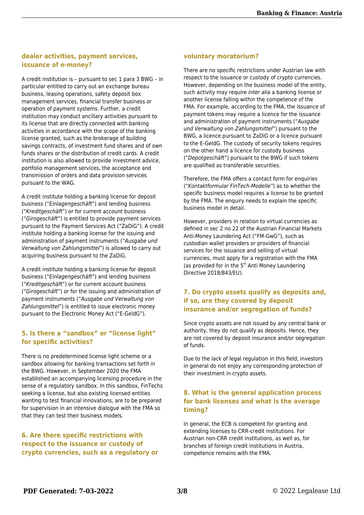#### **dealer activities, payment services, issuance of e-money?**

A credit institution is – pursuant to sec 1 para 3 BWG – in particular entitled to carry out an exchange bureau business, leasing operations, safety deposit box management services, financial transfer business or operation of payment systems. Further, a credit institution may conduct ancillary activities pursuant to its license that are directly connected with banking activities in accordance with the scope of the banking license granted, such as the brokerage of building savings contracts, of investment fund shares and of own funds shares or the distribution of credit cards. A credit institution is also allowed to provide investment advice, portfolio management services, the acceptance and transmission of orders and data provision services pursuant to the WAG.

A credit institute holding a banking license for deposit business ("Einlagengeschäft") and lending business ("Kreditgeschäft") or for current account business ("Girogeschäft") is entitled to provide payment services pursuant to the Payment Services Act ("ZaDiG"). A credit institute holding a banking license for the issuing and administration of payment instruments ("Ausgabe und Verwaltung von Zahlungsmittel") is allowed to carry out acquiring business pursuant to the ZaDiG.

A credit institute holding a banking license for deposit business ("Einlagengeschäft") and lending business ("Kreditgeschäft") or for current account business ("Girogeschäft") or for the issuing and administration of payment instruments ("Ausgabe und Verwaltung von Zahlungsmittel") is entitled to issue electronic money pursuant to the Electronic Money Act ("E-GeldG").

#### **5. Is there a "sandbox" or "license light" for specific activities?**

There is no predetermined license light scheme or a sandbox allowing for banking transactions set forth in the BWG. However, in September 2020 the FMA established an accompanying licensing procedure in the sense of a regulatory sandbox. In this sandbox, FinTechs seeking a license, but also existing licensed entities wanting to test financial innovations, are to be prepared for supervision in an intensive dialogue with the FMA so that they can test their business models.

#### **6. Are there specific restrictions with respect to the issuance or custody of crypto currencies, such as a regulatory or**

#### **voluntary moratorium?**

There are no specific restrictions under Austrian law with respect to the issuance or custody of crypto currencies. However, depending on the business model of the entity, such activity may require *inter alia* a banking license or another license falling within the competence of the FMA. For example, according to the FMA, the issuance of payment tokens may require a licence for the issuance and administration of payment instruments ("Ausgabe und Verwaltung von Zahlungsmittel") pursuant to the BWG, a licence pursuant to ZaDiG or a licence pursuant to the E-GeldG. The custody of security tokens requires on the other hand a licence for custody business ("Depotgeschäft") pursuant to the BWG if such tokens are qualified as transferable securities.

Therefore, the FMA offers a contact form for enquiries ("Kontaktformular FinTech-Modelle") as to whether the specific business model requires a license to be granted by the FMA. The enquiry needs to explain the specific business model in detail.

However, providers in relation to virtual currencies as defined in sec 2 no 22 of the Austrian Financial Markets Anti-Money Laundering Act ("FM-GwG"), such as custodian wallet providers or providers of financial services for the issuance and selling of virtual currencies, must apply for a registration with the FMA (as provided for in the  $5<sup>th</sup>$  Anti Money Laundering Directive 2018/843/EU).

#### **7. Do crypto assets qualify as deposits and, if so, are they covered by deposit insurance and/or segregation of funds?**

Since crypto assets are not issued by any central bank or authority, they do not qualify as deposits. Hence, they are not covered by deposit insurance and/or segregation of funds.

Due to the lack of legal regulation in this field, investors in general do not enjoy any corresponding protection of their investment in crypto assets.

#### **8. What is the general application process for bank licenses and what is the average timing?**

In general, the ECB is competent for granting and extending licenses to CRR-credit institutions. For Austrian non-CRR credit institutions, as well as, for branches of foreign credit institutions in Austria, competence remains with the FMA.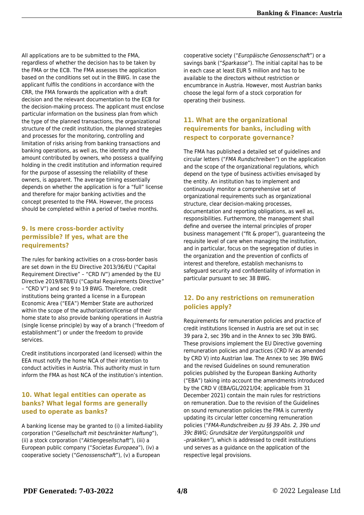All applications are to be submitted to the FMA, regardless of whether the decision has to be taken by the FMA or the ECB. The FMA assesses the application based on the conditions set out in the BWG. In case the applicant fulfils the conditions in accordance with the CRR, the FMA forwards the application with a draft decision and the relevant documentation to the ECB for the decision-making process. The applicant must enclose particular information on the business plan from which the type of the planned transactions, the organizational structure of the credit institution, the planned strategies and processes for the monitoring, controlling and limitation of risks arising from banking transactions and banking operations, as well as, the identity and the amount contributed by owners, who possess a qualifying holding in the credit institution and information required for the purpose of assessing the reliability of these owners, is apparent. The average timing essentially depends on whether the application is for a "full" license and therefore for major banking activities and the concept presented to the FMA. However, the process should be completed within a period of twelve months.

#### **9. Is mere cross-border activity permissible? If yes, what are the requirements?**

The rules for banking activities on a cross-border basis are set down in the EU Directive 2013/36/EU ("Capital Requirement Directive" – "CRD IV") amended by the EU Directive 2019/878/EU ("Capital Requirements Directive" – "CRD V") and sec 9 to 19 BWG. Therefore, credit institutions being granted a license in a European Economic Area ("EEA") Member State are authorized within the scope of the authorization/license of their home state to also provide banking operations in Austria (single license principle) by way of a branch ("freedom of establishment") or under the freedom to provide services.

Credit institutions incorporated (and licensed) within the EEA must notify the home NCA of their intention to conduct activities in Austria. This authority must in turn inform the FMA as host NCA of the institution's intention.

#### **10. What legal entities can operate as banks? What legal forms are generally used to operate as banks?**

A banking license may be granted to (i) a limited-liability corporation ("Gesellschaft mit beschränkter Haftung"), (ii) a stock corporation ("Aktiengesellschaft"), (iii) a European public company ("Societas Europaea"), (iv) a cooperative society ("Genossenschaft"), (v) a European

cooperative society ("Europäische Genossenschaft") or a savings bank ("Sparkasse"). The initial capital has to be in each case at least EUR 5 million and has to be available to the directors without restriction or encumbrance in Austria. However, most Austrian banks choose the legal form of a stock corporation for operating their business.

#### **11. What are the organizational requirements for banks, including with respect to corporate governance?**

The FMA has published a detailed set of guidelines and circular letters ("FMA Rundschreiben") on the application and the scope of the organizational regulations, which depend on the type of business activities envisaged by the entity. An institution has to implement and continuously monitor a comprehensive set of organizational requirements such as organizational structure, clear decision-making processes, documentation and reporting obligations, as well as, responsibilities. Furthermore, the management shall define and oversee the internal principles of proper business management ("fit & proper"), guaranteeing the requisite level of care when managing the institution, and in particular, focus on the segregation of duties in the organization and the prevention of conflicts of interest and therefore, establish mechanisms to safeguard security and confidentiality of information in particular pursuant to sec 38 BWG.

#### **12. Do any restrictions on remuneration policies apply?**

Requirements for remuneration policies and practice of credit institutions licensed in Austria are set out in sec 39 para 2, sec 39b and in the Annex to sec 39b BWG. These provisions implement the EU Directive governing remuneration policies and practices (CRD IV as amended by CRD V) into Austrian law. The Annex to sec 39b BWG and the revised Guidelines on sound remuneration policies published by the European Banking Authority ("EBA") taking into account the amendments introduced by the CRD V (EBA/GL/2021/04; applicable from 31 December 2021) contain the main rules for restrictions on remuneration. Due to the revision of the Guidelines on sound remuneration policies the FMA is currently updating its circular letter concerning remuneration policies ("FMA-Rundschreiben zu §§ 39 Abs. 2, 39b und 39c BWG; Grundsätze der Vergütungspolitik und –praktiken"), which is addressed to credit institutions und serves as a guidance on the application of the respective legal provisions.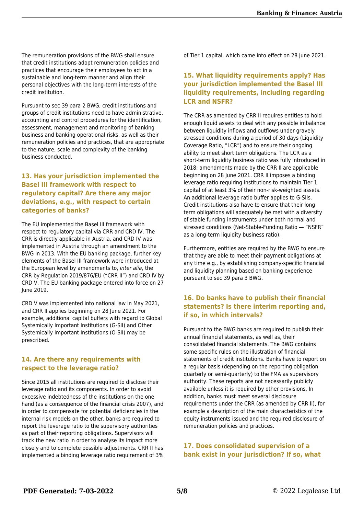The remuneration provisions of the BWG shall ensure that credit institutions adopt remuneration policies and practices that encourage their employees to act in a sustainable and long-term manner and align their personal objectives with the long-term interests of the credit institution.

Pursuant to sec 39 para 2 BWG, credit institutions and groups of credit institutions need to have administrative, accounting and control procedures for the identification, assessment, management and monitoring of banking business and banking operational risks, as well as their remuneration policies and practices, that are appropriate to the nature, scale and complexity of the banking business conducted.

#### **13. Has your jurisdiction implemented the Basel III framework with respect to regulatory capital? Are there any major deviations, e.g., with respect to certain categories of banks?**

The EU implemented the Basel III framework with respect to regulatory capital via CRR and CRD IV. The CRR is directly applicable in Austria, and CRD IV was implemented in Austria through an amendment to the BWG in 2013. With the EU banking package, further key elements of the Basel III framework were introduced at the European level by amendments to, inter alia, the CRR by Regulation 2019/876/EU ("CRR II") and CRD IV by CRD V. The EU banking package entered into force on 27 June 2019.

CRD V was implemented into national law in May 2021, and CRR II applies beginning on 28 June 2021. For example, additional capital buffers with regard to Global Systemically Important Institutions (G-SII) and Other Systemically Important Institutions (O-SII) may be prescribed.

#### **14. Are there any requirements with respect to the leverage ratio?**

Since 2015 all institutions are required to disclose their leverage ratio and its components. In order to avoid excessive indebtedness of the institutions on the one hand (as a consequence of the financial crisis 2007), and in order to compensate for potential deficiencies in the internal risk models on the other, banks are required to report the leverage ratio to the supervisory authorities as part of their reporting obligations. Supervisors will track the new ratio in order to analyse its impact more closely and to complete possible adjustments. CRR II has implemented a binding leverage ratio requirement of 3% of Tier 1 capital, which came into effect on 28 June 2021.

#### **15. What liquidity requirements apply? Has your jurisdiction implemented the Basel III liquidity requirements, including regarding LCR and NSFR?**

The CRR as amended by CRR II requires entities to hold enough liquid assets to deal with any possible imbalance between liquidity inflows and outflows under gravely stressed conditions during a period of 30 days (Liquidity Coverage Ratio, "LCR") and to ensure their ongoing ability to meet short term obligations. The LCR as a short-term liquidity business ratio was fully introduced in 2018; amendments made by the CRR II are applicable beginning on 28 June 2021. CRR II imposes a binding leverage ratio requiring institutions to maintain Tier 1 capital of at least 3% of their non-risk-weighted assets. An additional leverage ratio buffer applies to G-SIIs. Credit institutions also have to ensure that their long term obligations will adequately be met with a diversity of stable funding instruments under both normal and stressed conditions (Net-Stable-Funding Ratio — "NSFR" as a long-term liquidity business ratio).

Furthermore, entities are required by the BWG to ensure that they are able to meet their payment obligations at any time e.g., by establishing company-specific financial and liquidity planning based on banking experience pursuant to sec 39 para 3 BWG.

#### **16. Do banks have to publish their financial statements? Is there interim reporting and, if so, in which intervals?**

Pursuant to the BWG banks are required to publish their annual financial statements, as well as, their consolidated financial statements. The BWG contains some specific rules on the illustration of financial statements of credit institutions. Banks have to report on a regular basis (depending on the reporting obligation quarterly or semi-quarterly) to the FMA as supervisory authority. These reports are not necessarily publicly available unless it is required by other provisions. In addition, banks must meet several disclosure requirements under the CRR (as amended by CRR II), for example a description of the main characteristics of the equity instruments issued and the required disclosure of remuneration policies and practices.

**17. Does consolidated supervision of a bank exist in your jurisdiction? If so, what**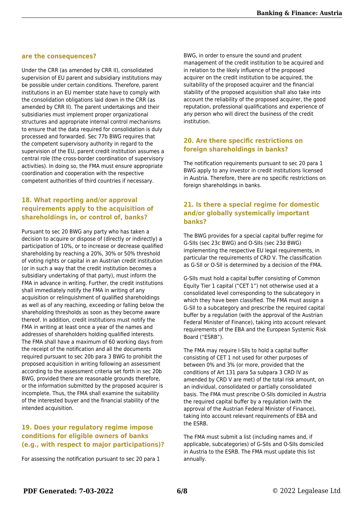#### **are the consequences?**

Under the CRR (as amended by CRR II), consolidated supervision of EU parent and subsidiary institutions may be possible under certain conditions. Therefore, parent institutions in an EU member state have to comply with the consolidation obligations laid down in the CRR (as amended by CRR II). The parent undertakings and their subsidiaries must implement proper organizational structures and appropriate internal control mechanisms to ensure that the data required for consolidation is duly processed and forwarded. Sec 77b BWG requires that the competent supervisory authority in regard to the supervision of the EU, parent credit institution assumes a central role (the cross-border coordination of supervisory activities). In doing so, the FMA must ensure appropriate coordination and cooperation with the respective competent authorities of third countries if necessary.

#### **18. What reporting and/or approval requirements apply to the acquisition of shareholdings in, or control of, banks?**

Pursuant to sec 20 BWG any party who has taken a decision to acquire or dispose of (directly or indirectly) a participation of 10%, or to increase or decrease qualified shareholding by reaching a 20%, 30% or 50% threshold of voting rights or capital in an Austrian credit institution (or in such a way that the credit institution becomes a subsidiary undertaking of that party), must inform the FMA in advance in writing. Further, the credit institutions shall immediately notify the FMA in writing of any acquisition or relinquishment of qualified shareholdings as well as of any reaching, exceeding or falling below the shareholding thresholds as soon as they become aware thereof. In addition, credit institutions must notify the FMA in writing at least once a year of the names and addresses of shareholders holding qualified interests. The FMA shall have a maximum of 60 working days from the receipt of the notification and all the documents required pursuant to sec 20b para 3 BWG to prohibit the proposed acquisition in writing following an assessment according to the assessment criteria set forth in sec 20b BWG, provided there are reasonable grounds therefore, or the information submitted by the proposed acquirer is incomplete. Thus, the FMA shall examine the suitability of the interested buyer and the financial stability of the intended acquisition.

#### **19. Does your regulatory regime impose conditions for eligible owners of banks (e.g., with respect to major participations)?**

For assessing the notification pursuant to sec 20 para 1

BWG, in order to ensure the sound and prudent management of the credit institution to be acquired and in relation to the likely influence of the proposed acquirer on the credit institution to be acquired, the suitability of the proposed acquirer and the financial stability of the proposed acquisition shall also take into account the reliability of the proposed acquirer, the good reputation, professional qualifications and experience of any person who will direct the business of the credit institution.

#### **20. Are there specific restrictions on foreign shareholdings in banks?**

The notification requirements pursuant to sec 20 para 1 BWG apply to any investor in credit institutions licensed in Austria. Therefore, there are no specific restrictions on foreign shareholdings in banks.

#### **21. Is there a special regime for domestic and/or globally systemically important banks?**

The BWG provides for a special capital buffer regime for G-SIIs (sec 23c BWG) and O-SIIs (sec 23d BWG) implementing the respective EU legal requirements, in particular the requirements of CRD V. The classification as G-SII or O-SII is determined by a decision of the FMA.

G-SIIs must hold a capital buffer consisting of Common Equity Tier 1 capital ("CET 1") not otherwise used at a consolidated level corresponding to the subcategory in which they have been classified. The FMA must assign a G-SII to a subcategory and prescribe the required capital buffer by a regulation (with the approval of the Austrian Federal Minister of Finance), taking into account relevant requirements of the EBA and the European Systemic Risk Board ("ESRB").

The FMA may require I-SIIs to hold a capital buffer consisting of CET 1 not used for other purposes of between 0% and 3% (or more, provided that the conditions of Art 131 para 5a subpara 3 CRD IV as amended by CRD V are met) of the total risk amount, on an individual, consolidated or partially consolidated basis. The FMA must prescribe O-SIIs domiciled in Austria the required capital buffer by a regulation (with the approval of the Austrian Federal Minister of Finance), taking into account relevant requirements of EBA and the ESRB.

The FMA must submit a list (including names and, if applicable, subcategories) of G-SIIs and O-SIIs domiciled in Austria to the ESRB. The FMA must update this list annually.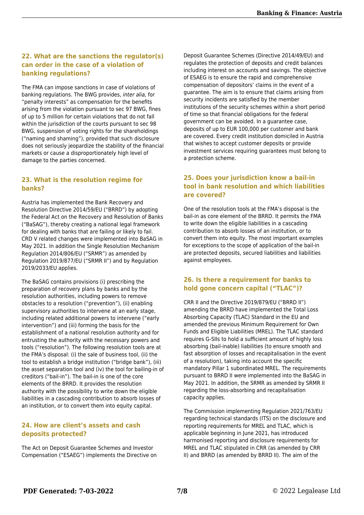#### **22. What are the sanctions the regulator(s) can order in the case of a violation of banking regulations?**

The FMA can impose sanctions in case of violations of banking regulations. The BWG provides, inter alia, for "penalty interests" as compensation for the benefits arising from the violation pursuant to sec 97 BWG, fines of up to 5 million for certain violations that do not fall within the jurisdiction of the courts pursuant to sec 98 BWG, suspension of voting rights for the shareholdings ("naming and shaming"), provided that such disclosure does not seriously jeopardize the stability of the financial markets or cause a disproportionately high level of damage to the parties concerned.

#### **23. What is the resolution regime for banks?**

Austria has implemented the Bank Recovery and Resolution Directive 2014/59/EU ("BRRD") by adopting the Federal Act on the Recovery and Resolution of Banks ("BaSAG"), thereby creating a national legal framework for dealing with banks that are failing or likely to fail. CRD V related changes were implemented into BaSAG in May 2021. In addition the Single Resolution Mechanism Regulation 2014/806/EU ("SRMR") as amended by Regulation 2019/877/EU ("SRMR II") and by Regulation 2019/2033/EU applies.

The BaSAG contains provisions (i) prescribing the preparation of recovery plans by banks and by the resolution authorities, including powers to remove obstacles to a resolution ("prevention"), (ii) enabling supervisory authorities to intervene at an early stage, including related additional powers to intervene ("early intervention") and (iii) forming the basis for the establishment of a national resolution authority and for entrusting the authority with the necessary powers and tools ("resolution"). The following resolution tools are at the FMA's disposal: (i) the sale of business tool, (ii) the tool to establish a bridge institution ("bridge bank"), (iii) the asset separation tool and (iv) the tool for bailing-in of creditors ("bail-in"). The bail-in is one of the core elements of the BRRD. It provides the resolution authority with the possibility to write down the eligible liabilities in a cascading contribution to absorb losses of an institution, or to convert them into equity capital.

#### **24. How are client's assets and cash deposits protected?**

The Act on Deposit Guarantee Schemes and Investor Compensation ("ESAEG") implements the Directive on

Deposit Guarantee Schemes (Directive 2014/49/EU) and regulates the protection of deposits and credit balances including interest on accounts and savings. The objective of ESAEG is to ensure the rapid and comprehensive compensation of depositors' claims in the event of a guarantee. The aim is to ensure that claims arising from security incidents are satisfied by the member institutions of the security schemes within a short period of time so that financial obligations for the federal government can be avoided. In a guarantee case, deposits of up to EUR 100,000 per customer and bank are covered. Every credit institution domiciled in Austria that wishes to accept customer deposits or provide investment services requiring guarantees must belong to a protection scheme.

#### **25. Does your jurisdiction know a bail-in tool in bank resolution and which liabilities are covered?**

One of the resolution tools at the FMA's disposal is the bail-in as core element of the BRRD. It permits the FMA to write down the eligible liabilities in a cascading contribution to absorb losses of an institution, or to convert them into equity. The most important examples for exceptions to the scope of application of the bail-in are protected deposits, secured liabilities and liabilities against employees.

#### **26. Is there a requirement for banks to hold gone concern capital ("TLAC")?**

CRR II and the Directive 2019/879/EU ("BRRD II") amending the BRRD have implemented the Total Loss Absorbing Capacity (TLAC) Standard in the EU and amended the previous Minimum Requirement for Own Funds and Eligible Liabilities (MREL). The TLAC standard requires G-SIIs to hold a sufficient amount of highly loss absorbing (bail-inable) liabilities (to ensure smooth and fast absorption of losses and recapitalisation in the event of a resolution), taking into account the specific mandatory Pillar 1 subordinated MREL. The requirements pursuant to BRRD II were implemented into the BaSAG in May 2021. In addition, the SRMR as amended by SRMR II regarding the loss-absorbing and recapitalisation capacity applies.

The Commission implementing Regulation 2021/763/EU regarding technical standards (ITS) on the disclosure and reporting requirements for MREL and TLAC, which is applicable beginning in June 2021, has introduced harmonised reporting and disclosure requirements for MREL and TLAC stipulated in CRR (as amended by CRR II) and BRRD (as amended by BRRD II). The aim of the